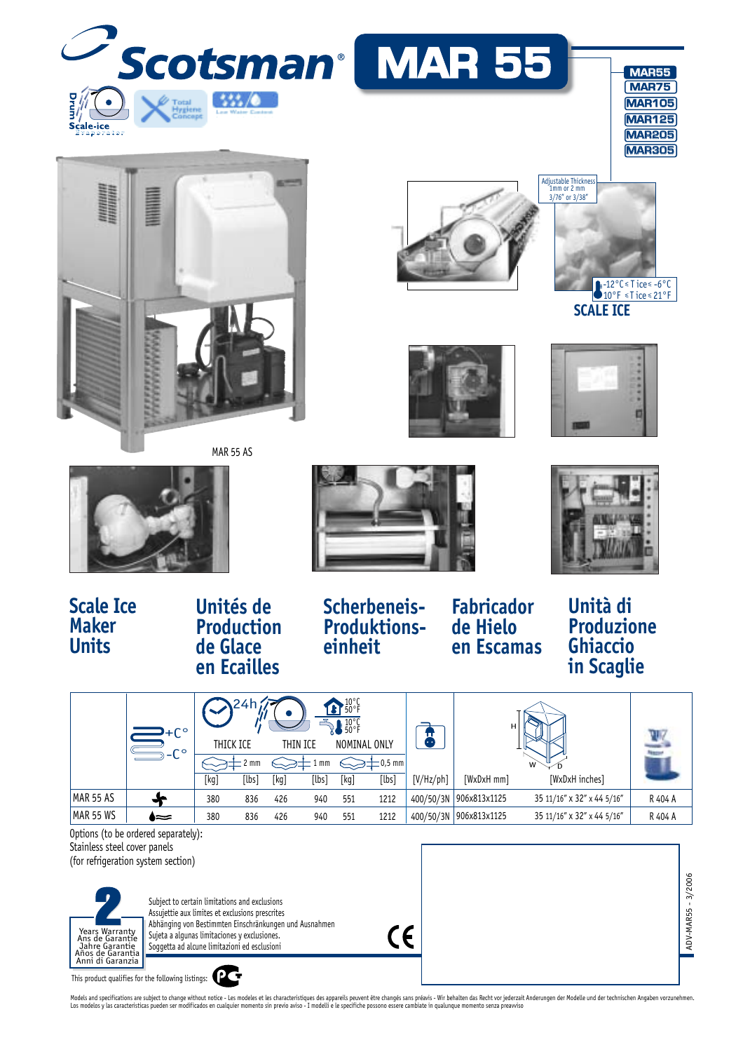

Models and specifications are subject to change without notice - Les modeles et les characteristiques des appareils peuvent être changés sans préavis - Wir behalten das Recht vor jederzait Anderungen der Modelle und der te